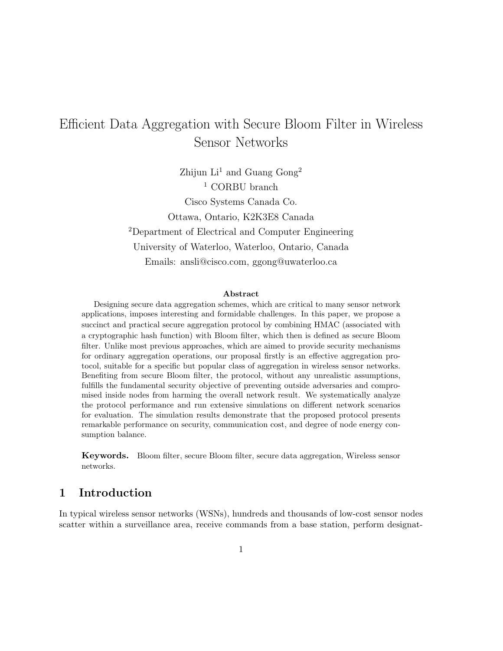# Efficient Data Aggregation with Secure Bloom Filter in Wireless Sensor Networks

Zhijun  $Li<sup>1</sup>$  and Guang Gong<sup>2</sup> <sup>1</sup> CORBU branch Cisco Systems Canada Co. Ottawa, Ontario, K2K3E8 Canada <sup>2</sup>Department of Electrical and Computer Engineering University of Waterloo, Waterloo, Ontario, Canada Emails: ansli@cisco.com, ggong@uwaterloo.ca

#### Abstract

Designing secure data aggregation schemes, which are critical to many sensor network applications, imposes interesting and formidable challenges. In this paper, we propose a succinct and practical secure aggregation protocol by combining HMAC (associated with a cryptographic hash function) with Bloom filter, which then is defined as secure Bloom filter. Unlike most previous approaches, which are aimed to provide security mechanisms for ordinary aggregation operations, our proposal firstly is an effective aggregation protocol, suitable for a specific but popular class of aggregation in wireless sensor networks. Benefiting from secure Bloom filter, the protocol, without any unrealistic assumptions, fulfills the fundamental security objective of preventing outside adversaries and compromised inside nodes from harming the overall network result. We systematically analyze the protocol performance and run extensive simulations on different network scenarios for evaluation. The simulation results demonstrate that the proposed protocol presents remarkable performance on security, communication cost, and degree of node energy consumption balance.

Keywords. Bloom filter, secure Bloom filter, secure data aggregation, Wireless sensor networks.

# 1 Introduction

In typical wireless sensor networks (WSNs), hundreds and thousands of low-cost sensor nodes scatter within a surveillance area, receive commands from a base station, perform designat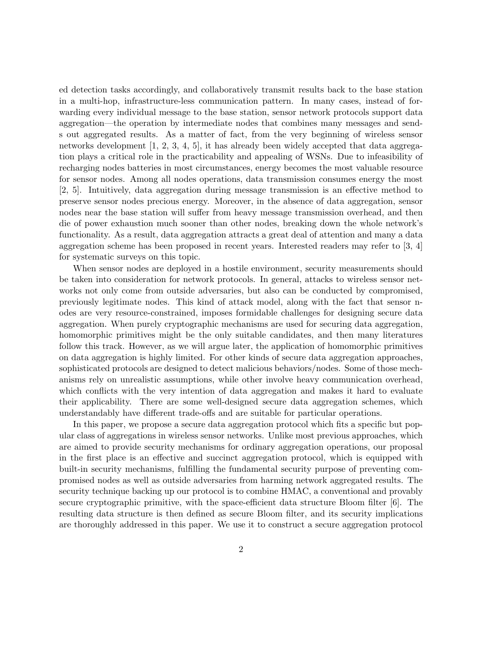ed detection tasks accordingly, and collaboratively transmit results back to the base station in a multi-hop, infrastructure-less communication pattern. In many cases, instead of forwarding every individual message to the base station, sensor network protocols support data aggregation—the operation by intermediate nodes that combines many messages and sends out aggregated results. As a matter of fact, from the very beginning of wireless sensor networks development  $[1, 2, 3, 4, 5]$ , it has already been widely accepted that data aggregation plays a critical role in the practicability and appealing of WSNs. Due to infeasibility of recharging nodes batteries in most circumstances, energy becomes the most valuable resource for sensor nodes. Among all nodes operations, data transmission consumes energy the most [2, 5]. Intuitively, data aggregation during message transmission is an effective method to preserve sensor nodes precious energy. Moreover, in the absence of data aggregation, sensor nodes near the base station will suffer from heavy message transmission overhead, and then die of power exhaustion much sooner than other nodes, breaking down the whole network's functionality. As a result, data aggregation attracts a great deal of attention and many a data aggregation scheme has been proposed in recent years. Interested readers may refer to [3, 4] for systematic surveys on this topic.

When sensor nodes are deployed in a hostile environment, security measurements should be taken into consideration for network protocols. In general, attacks to wireless sensor networks not only come from outside adversaries, but also can be conducted by compromised, previously legitimate nodes. This kind of attack model, along with the fact that sensor nodes are very resource-constrained, imposes formidable challenges for designing secure data aggregation. When purely cryptographic mechanisms are used for securing data aggregation, homomorphic primitives might be the only suitable candidates, and then many literatures follow this track. However, as we will argue later, the application of homomorphic primitives on data aggregation is highly limited. For other kinds of secure data aggregation approaches, sophisticated protocols are designed to detect malicious behaviors/nodes. Some of those mechanisms rely on unrealistic assumptions, while other involve heavy communication overhead, which conflicts with the very intention of data aggregation and makes it hard to evaluate their applicability. There are some well-designed secure data aggregation schemes, which understandably have different trade-offs and are suitable for particular operations.

In this paper, we propose a secure data aggregation protocol which fits a specific but popular class of aggregations in wireless sensor networks. Unlike most previous approaches, which are aimed to provide security mechanisms for ordinary aggregation operations, our proposal in the first place is an effective and succinct aggregation protocol, which is equipped with built-in security mechanisms, fulfilling the fundamental security purpose of preventing compromised nodes as well as outside adversaries from harming network aggregated results. The security technique backing up our protocol is to combine HMAC, a conventional and provably secure cryptographic primitive, with the space-efficient data structure Bloom filter [6]. The resulting data structure is then defined as secure Bloom filter, and its security implications are thoroughly addressed in this paper. We use it to construct a secure aggregation protocol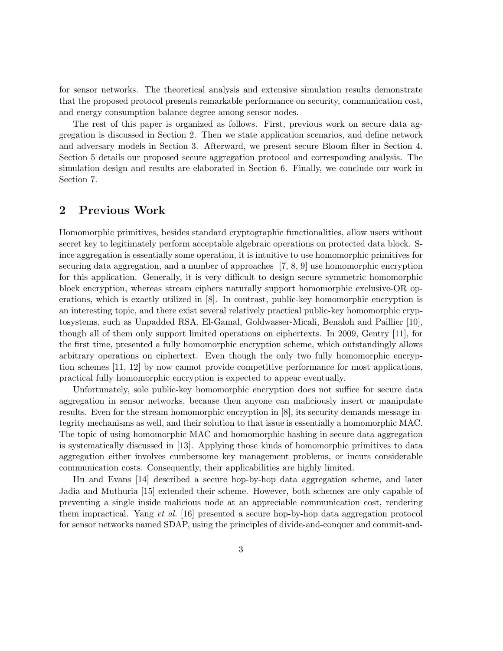for sensor networks. The theoretical analysis and extensive simulation results demonstrate that the proposed protocol presents remarkable performance on security, communication cost, and energy consumption balance degree among sensor nodes.

The rest of this paper is organized as follows. First, previous work on secure data aggregation is discussed in Section 2. Then we state application scenarios, and define network and adversary models in Section 3. Afterward, we present secure Bloom filter in Section 4. Section 5 details our proposed secure aggregation protocol and corresponding analysis. The simulation design and results are elaborated in Section 6. Finally, we conclude our work in Section 7.

# 2 Previous Work

Homomorphic primitives, besides standard cryptographic functionalities, allow users without secret key to legitimately perform acceptable algebraic operations on protected data block. Since aggregation is essentially some operation, it is intuitive to use homomorphic primitives for securing data aggregation, and a number of approaches [7, 8, 9] use homomorphic encryption for this application. Generally, it is very difficult to design secure symmetric homomorphic block encryption, whereas stream ciphers naturally support homomorphic exclusive-OR operations, which is exactly utilized in [8]. In contrast, public-key homomorphic encryption is an interesting topic, and there exist several relatively practical public-key homomorphic cryptosystems, such as Unpadded RSA, El-Gamal, Goldwasser-Micali, Benaloh and Paillier [10], though all of them only support limited operations on ciphertexts. In 2009, Gentry [11], for the first time, presented a fully homomorphic encryption scheme, which outstandingly allows arbitrary operations on ciphertext. Even though the only two fully homomorphic encryption schemes [11, 12] by now cannot provide competitive performance for most applications, practical fully homomorphic encryption is expected to appear eventually.

Unfortunately, sole public-key homomorphic encryption does not suffice for secure data aggregation in sensor networks, because then anyone can maliciously insert or manipulate results. Even for the stream homomorphic encryption in [8], its security demands message integrity mechanisms as well, and their solution to that issue is essentially a homomorphic MAC. The topic of using homomorphic MAC and homomorphic hashing in secure data aggregation is systematically discussed in [13]. Applying those kinds of homomorphic primitives to data aggregation either involves cumbersome key management problems, or incurs considerable communication costs. Consequently, their applicabilities are highly limited.

Hu and Evans [14] described a secure hop-by-hop data aggregation scheme, and later Jadia and Muthuria [15] extended their scheme. However, both schemes are only capable of preventing a single inside malicious node at an appreciable communication cost, rendering them impractical. Yang et al. [16] presented a secure hop-by-hop data aggregation protocol for sensor networks named SDAP, using the principles of divide-and-conquer and commit-and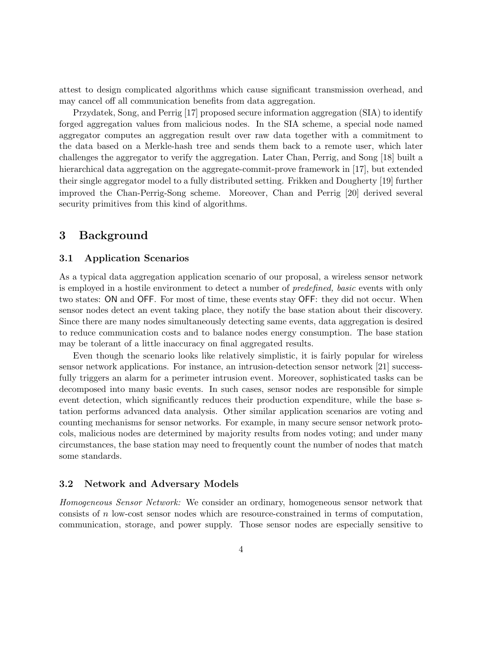attest to design complicated algorithms which cause significant transmission overhead, and may cancel off all communication benefits from data aggregation.

Przydatek, Song, and Perrig [17] proposed secure information aggregation (SIA) to identify forged aggregation values from malicious nodes. In the SIA scheme, a special node named aggregator computes an aggregation result over raw data together with a commitment to the data based on a Merkle-hash tree and sends them back to a remote user, which later challenges the aggregator to verify the aggregation. Later Chan, Perrig, and Song [18] built a hierarchical data aggregation on the aggregate-commit-prove framework in [17], but extended their single aggregator model to a fully distributed setting. Frikken and Dougherty [19] further improved the Chan-Perrig-Song scheme. Moreover, Chan and Perrig [20] derived several security primitives from this kind of algorithms.

# 3 Background

### 3.1 Application Scenarios

As a typical data aggregation application scenario of our proposal, a wireless sensor network is employed in a hostile environment to detect a number of predefined, basic events with only two states: ON and OFF. For most of time, these events stay OFF: they did not occur. When sensor nodes detect an event taking place, they notify the base station about their discovery. Since there are many nodes simultaneously detecting same events, data aggregation is desired to reduce communication costs and to balance nodes energy consumption. The base station may be tolerant of a little inaccuracy on final aggregated results.

Even though the scenario looks like relatively simplistic, it is fairly popular for wireless sensor network applications. For instance, an intrusion-detection sensor network [21] successfully triggers an alarm for a perimeter intrusion event. Moreover, sophisticated tasks can be decomposed into many basic events. In such cases, sensor nodes are responsible for simple event detection, which significantly reduces their production expenditure, while the base station performs advanced data analysis. Other similar application scenarios are voting and counting mechanisms for sensor networks. For example, in many secure sensor network protocols, malicious nodes are determined by majority results from nodes voting; and under many circumstances, the base station may need to frequently count the number of nodes that match some standards.

### 3.2 Network and Adversary Models

Homogeneous Sensor Network: We consider an ordinary, homogeneous sensor network that consists of n low-cost sensor nodes which are resource-constrained in terms of computation, communication, storage, and power supply. Those sensor nodes are especially sensitive to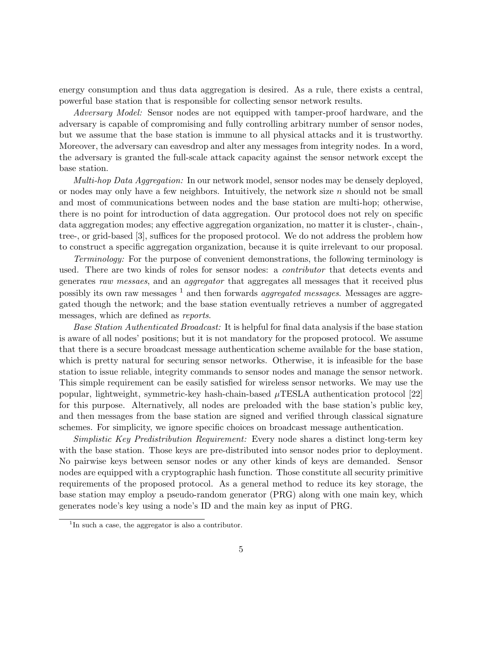energy consumption and thus data aggregation is desired. As a rule, there exists a central, powerful base station that is responsible for collecting sensor network results.

Adversary Model: Sensor nodes are not equipped with tamper-proof hardware, and the adversary is capable of compromising and fully controlling arbitrary number of sensor nodes, but we assume that the base station is immune to all physical attacks and it is trustworthy. Moreover, the adversary can eavesdrop and alter any messages from integrity nodes. In a word, the adversary is granted the full-scale attack capacity against the sensor network except the base station.

Multi-hop Data Aggregation: In our network model, sensor nodes may be densely deployed, or nodes may only have a few neighbors. Intuitively, the network size  $n$  should not be small and most of communications between nodes and the base station are multi-hop; otherwise, there is no point for introduction of data aggregation. Our protocol does not rely on specific data aggregation modes; any effective aggregation organization, no matter it is cluster-, chain-, tree-, or grid-based [3], suffices for the proposed protocol. We do not address the problem how to construct a specific aggregation organization, because it is quite irrelevant to our proposal.

Terminology: For the purpose of convenient demonstrations, the following terminology is used. There are two kinds of roles for sensor nodes: a *contributor* that detects events and generates raw messaes, and an aggregator that aggregates all messages that it received plus possibly its own raw messages  $<sup>1</sup>$  and then forwards *aggregated messages*. Messages are aggre-</sup> gated though the network; and the base station eventually retrieves a number of aggregated messages, which are defined as reports.

Base Station Authenticated Broadcast: It is helpful for final data analysis if the base station is aware of all nodes' positions; but it is not mandatory for the proposed protocol. We assume that there is a secure broadcast message authentication scheme available for the base station, which is pretty natural for securing sensor networks. Otherwise, it is infeasible for the base station to issue reliable, integrity commands to sensor nodes and manage the sensor network. This simple requirement can be easily satisfied for wireless sensor networks. We may use the popular, lightweight, symmetric-key hash-chain-based  $\mu$ TESLA authentication protocol [22] for this purpose. Alternatively, all nodes are preloaded with the base station's public key, and then messages from the base station are signed and verified through classical signature schemes. For simplicity, we ignore specific choices on broadcast message authentication.

Simplistic Key Predistribution Requirement: Every node shares a distinct long-term key with the base station. Those keys are pre-distributed into sensor nodes prior to deployment. No pairwise keys between sensor nodes or any other kinds of keys are demanded. Sensor nodes are equipped with a cryptographic hash function. Those constitute all security primitive requirements of the proposed protocol. As a general method to reduce its key storage, the base station may employ a pseudo-random generator (PRG) along with one main key, which generates node's key using a node's ID and the main key as input of PRG.

<sup>&</sup>lt;sup>1</sup>In such a case, the aggregator is also a contributor.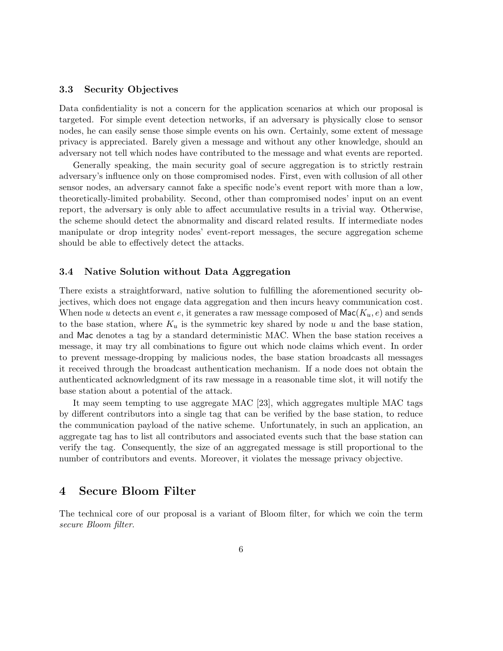### 3.3 Security Objectives

Data confidentiality is not a concern for the application scenarios at which our proposal is targeted. For simple event detection networks, if an adversary is physically close to sensor nodes, he can easily sense those simple events on his own. Certainly, some extent of message privacy is appreciated. Barely given a message and without any other knowledge, should an adversary not tell which nodes have contributed to the message and what events are reported.

Generally speaking, the main security goal of secure aggregation is to strictly restrain adversary's influence only on those compromised nodes. First, even with collusion of all other sensor nodes, an adversary cannot fake a specific node's event report with more than a low, theoretically-limited probability. Second, other than compromised nodes' input on an event report, the adversary is only able to affect accumulative results in a trivial way. Otherwise, the scheme should detect the abnormality and discard related results. If intermediate nodes manipulate or drop integrity nodes' event-report messages, the secure aggregation scheme should be able to effectively detect the attacks.

### 3.4 Native Solution without Data Aggregation

There exists a straightforward, native solution to fulfilling the aforementioned security objectives, which does not engage data aggregation and then incurs heavy communication cost. When node u detects an event e, it generates a raw message composed of  $\mathsf{Mac}(K_u, e)$  and sends to the base station, where  $K_u$  is the symmetric key shared by node u and the base station, and Mac denotes a tag by a standard deterministic MAC. When the base station receives a message, it may try all combinations to figure out which node claims which event. In order to prevent message-dropping by malicious nodes, the base station broadcasts all messages it received through the broadcast authentication mechanism. If a node does not obtain the authenticated acknowledgment of its raw message in a reasonable time slot, it will notify the base station about a potential of the attack.

It may seem tempting to use aggregate MAC [23], which aggregates multiple MAC tags by different contributors into a single tag that can be verified by the base station, to reduce the communication payload of the native scheme. Unfortunately, in such an application, an aggregate tag has to list all contributors and associated events such that the base station can verify the tag. Consequently, the size of an aggregated message is still proportional to the number of contributors and events. Moreover, it violates the message privacy objective.

# 4 Secure Bloom Filter

The technical core of our proposal is a variant of Bloom filter, for which we coin the term secure Bloom filter.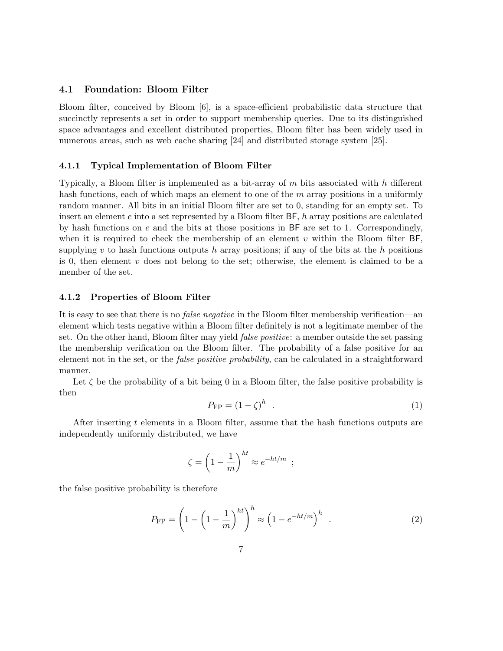## 4.1 Foundation: Bloom Filter

Bloom filter, conceived by Bloom [6], is a space-efficient probabilistic data structure that succinctly represents a set in order to support membership queries. Due to its distinguished space advantages and excellent distributed properties, Bloom filter has been widely used in numerous areas, such as web cache sharing [24] and distributed storage system [25].

#### 4.1.1 Typical Implementation of Bloom Filter

Typically, a Bloom filter is implemented as a bit-array of  $m$  bits associated with  $h$  different hash functions, each of which maps an element to one of the m array positions in a uniformly random manner. All bits in an initial Bloom filter are set to 0, standing for an empty set. To insert an element  $e$  into a set represented by a Bloom filter  $BF$ , h array positions are calculated by hash functions on  $e$  and the bits at those positions in  $BF$  are set to 1. Correspondingly, when it is required to check the membership of an element  $v$  within the Bloom filter BF, supplying v to hash functions outputs h array positions; if any of the bits at the h positions is 0, then element  $v$  does not belong to the set; otherwise, the element is claimed to be a member of the set.

#### 4.1.2 Properties of Bloom Filter

It is easy to see that there is no false negative in the Bloom filter membership verification—an element which tests negative within a Bloom filter definitely is not a legitimate member of the set. On the other hand, Bloom filter may yield *false positive*: a member outside the set passing the membership verification on the Bloom filter. The probability of a false positive for an element not in the set, or the *false positive probability*, can be calculated in a straightforward manner.

Let  $\zeta$  be the probability of a bit being 0 in a Bloom filter, the false positive probability is then

$$
P_{\rm FP} = (1 - \zeta)^h \quad . \tag{1}
$$

After inserting t elements in a Bloom filter, assume that the hash functions outputs are independently uniformly distributed, we have

$$
\zeta = \left(1 - \frac{1}{m}\right)^{ht} \approx e^{-ht/m} ;
$$

the false positive probability is therefore

$$
P_{\rm FP} = \left(1 - \left(1 - \frac{1}{m}\right)^{ht}\right)^h \approx \left(1 - e^{-ht/m}\right)^h \quad . \tag{2}
$$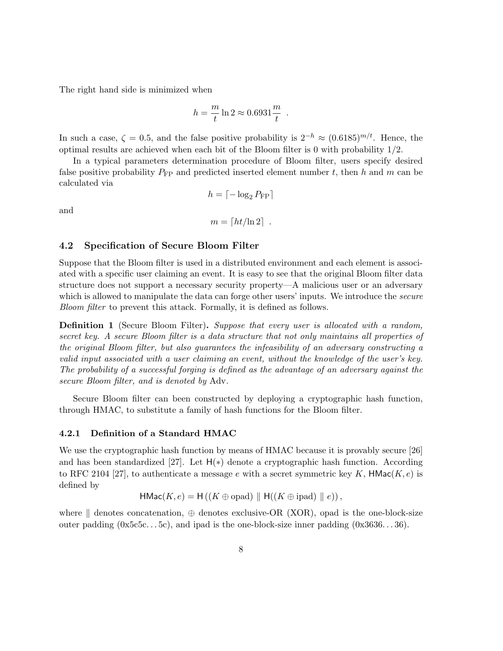The right hand side is minimized when

$$
h = \frac{m}{t} \ln 2 \approx 0.6931 \frac{m}{t}
$$

.

In such a case,  $\zeta = 0.5$ , and the false positive probability is  $2^{-h} \approx (0.6185)^{m/t}$ . Hence, the optimal results are achieved when each bit of the Bloom filter is 0 with probability 1/2.

In a typical parameters determination procedure of Bloom filter, users specify desired false positive probability  $P_{\text{FP}}$  and predicted inserted element number t, then h and m can be calculated via

$$
h = \lceil -\log_2 P_{\text{FP}} \rceil
$$

and

$$
m = \lceil ht/\ln 2 \rceil .
$$

#### 4.2 Specification of Secure Bloom Filter

Suppose that the Bloom filter is used in a distributed environment and each element is associated with a specific user claiming an event. It is easy to see that the original Bloom filter data structure does not support a necessary security property—A malicious user or an adversary which is allowed to manipulate the data can forge other users' inputs. We introduce the *secure* Bloom filter to prevent this attack. Formally, it is defined as follows.

Definition 1 (Secure Bloom Filter). Suppose that every user is allocated with a random, secret key. A secure Bloom filter is a data structure that not only maintains all properties of the original Bloom filter, but also guarantees the infeasibility of an adversary constructing a valid input associated with a user claiming an event, without the knowledge of the user's key. The probability of a successful forging is defined as the advantage of an adversary against the secure Bloom filter, and is denoted by Adv.

Secure Bloom filter can been constructed by deploying a cryptographic hash function, through HMAC, to substitute a family of hash functions for the Bloom filter.

#### 4.2.1 Definition of a Standard HMAC

We use the cryptographic hash function by means of HMAC because it is provably secure [26] and has been standardized [27]. Let  $H(*)$  denote a cryptographic hash function. According to RFC 2104 [27], to authenticate a message e with a secret symmetric key K,  $HMac(K, e)$  is defined by

$$
\mathsf{HMac}(K, e) = \mathsf{H}((K \oplus \mathrm{opad}) \parallel \mathsf{H}((K \oplus \mathrm{ipad}) \parallel e)),
$$

where  $\parallel$  denotes concatenation,  $\oplus$  denotes exclusive-OR (XOR), opad is the one-block-size outer padding  $(0x5c5c...5c)$ , and ipad is the one-block-size inner padding  $(0x3636...36)$ .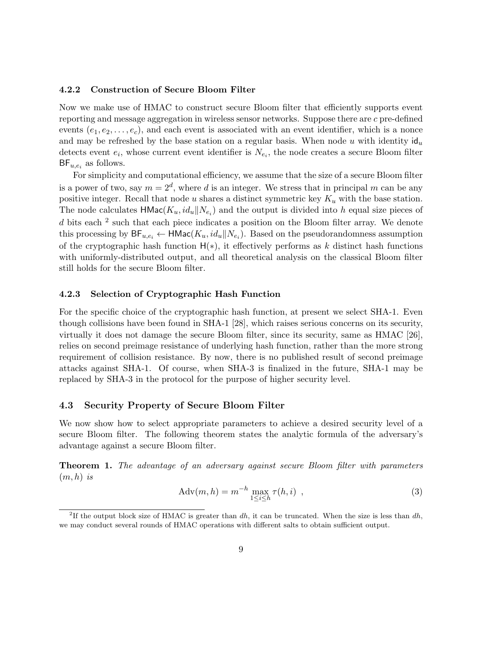### 4.2.2 Construction of Secure Bloom Filter

Now we make use of HMAC to construct secure Bloom filter that efficiently supports event reporting and message aggregation in wireless sensor networks. Suppose there are c pre-defined events  $(e_1, e_2, \ldots, e_c)$ , and each event is associated with an event identifier, which is a nonce and may be refreshed by the base station on a regular basis. When node u with identity  $\mathsf{id}_u$ detects event  $e_i$ , whose current event identifier is  $N_{e_i}$ , the node creates a secure Bloom filter  $BF_{u,e_i}$  as follows.

For simplicity and computational efficiency, we assume that the size of a secure Bloom filter is a power of two, say  $m = 2^d$ , where d is an integer. We stress that in principal m can be any positive integer. Recall that node u shares a distinct symmetric key  $K_u$  with the base station. The node calculates  $\text{HMac}(K_u, id_u \parallel N_{e_i})$  and the output is divided into h equal size pieces of d bits each <sup>2</sup> such that each piece indicates a position on the Bloom filter array. We denote this processing by  $\mathsf{BF}_{u,e_i} \leftarrow \mathsf{HMac}(K_u, id_u||N_{e_i})$ . Based on the pseudorandomness assumption of the cryptographic hash function  $H(*)$ , it effectively performs as k distinct hash functions with uniformly-distributed output, and all theoretical analysis on the classical Bloom filter still holds for the secure Bloom filter.

#### 4.2.3 Selection of Cryptographic Hash Function

For the specific choice of the cryptographic hash function, at present we select SHA-1. Even though collisions have been found in SHA-1 [28], which raises serious concerns on its security, virtually it does not damage the secure Bloom filter, since its security, same as HMAC [26], relies on second preimage resistance of underlying hash function, rather than the more strong requirement of collision resistance. By now, there is no published result of second preimage attacks against SHA-1. Of course, when SHA-3 is finalized in the future, SHA-1 may be replaced by SHA-3 in the protocol for the purpose of higher security level.

### 4.3 Security Property of Secure Bloom Filter

We now show how to select appropriate parameters to achieve a desired security level of a secure Bloom filter. The following theorem states the analytic formula of the adversary's advantage against a secure Bloom filter.

Theorem 1. The advantage of an adversary against secure Bloom filter with parameters  $(m, h)$  is

$$
Adv(m, h) = m^{-h} \max_{1 \le i \le h} \tau(h, i) , \qquad (3)
$$

<sup>&</sup>lt;sup>2</sup>If the output block size of HMAC is greater than  $dh$ , it can be truncated. When the size is less than  $dh$ , we may conduct several rounds of HMAC operations with different salts to obtain sufficient output.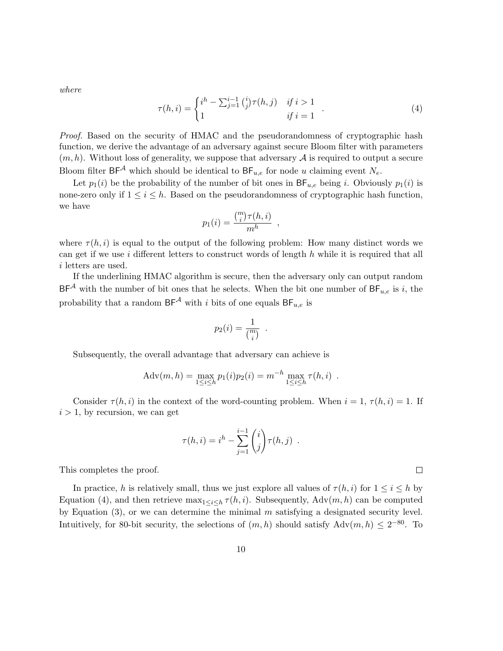where

$$
\tau(h,i) = \begin{cases} i^h - \sum_{j=1}^{i-1} {i \choose j} \tau(h,j) & if \ i > 1 \\ 1 & if \ i = 1 \end{cases} . \tag{4}
$$

Proof. Based on the security of HMAC and the pseudorandomness of cryptographic hash function, we derive the advantage of an adversary against secure Bloom filter with parameters  $(m, h)$ . Without loss of generality, we suppose that adversary  $A$  is required to output a secure Bloom filter  $BF^{\mathcal{A}}$  which should be identical to  $BF_{u,e}$  for node u claiming event  $N_e$ .

Let  $p_1(i)$  be the probability of the number of bit ones in  $BF_{u,e}$  being i. Obviously  $p_1(i)$  is none-zero only if  $1 \leq i \leq h$ . Based on the pseudorandomness of cryptographic hash function, we have

$$
p_1(i) = \frac{\binom{m}{i}\tau(h,i)}{m^h},
$$

where  $\tau(h, i)$  is equal to the output of the following problem: How many distinct words we can get if we use i different letters to construct words of length  $h$  while it is required that all i letters are used.

If the underlining HMAC algorithm is secure, then the adversary only can output random  $BF^{\mathcal{A}}$  with the number of bit ones that he selects. When the bit one number of  $BF_{u,e}$  is i, the probability that a random  $BF^{\mathcal{A}}$  with i bits of one equals  $BF_{u,e}$  is

$$
p_2(i) = \frac{1}{\binom{m}{i}} .
$$

Subsequently, the overall advantage that adversary can achieve is

$$
Adv(m, h) = \max_{1 \le i \le h} p_1(i) p_2(i) = m^{-h} \max_{1 \le i \le h} \tau(h, i) .
$$

Consider  $\tau(h, i)$  in the context of the word-counting problem. When  $i = 1, \tau(h, i) = 1$ . If  $i > 1$ , by recursion, we can get

$$
\tau(h, i) = i^h - \sum_{j=1}^{i-1} {i \choose j} \tau(h, j) .
$$

This completes the proof.

In practice, h is relatively small, thus we just explore all values of  $\tau(h, i)$  for  $1 \leq i \leq h$  by Equation (4), and then retrieve  $\max_{1 \leq i \leq h} \tau(h, i)$ . Subsequently,  $\text{Adv}(m, h)$  can be computed by Equation  $(3)$ , or we can determine the minimal m satisfying a designated security level. Intuitively, for 80-bit security, the selections of  $(m, h)$  should satisfy  $\text{Adv}(m, h) \leq 2^{-80}$ . To

 $\Box$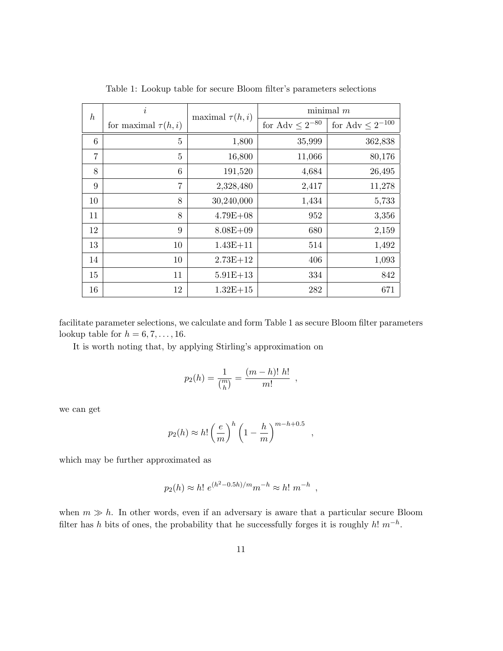| $\boldsymbol{h}$ | $\dot{i}$                | maximal $\tau(h, i)$ | $minimal$ m            |                         |
|------------------|--------------------------|----------------------|------------------------|-------------------------|
|                  | for maximal $\tau(h, i)$ |                      | for Adv $\leq 2^{-80}$ | for Adv $\leq 2^{-100}$ |
| 6                | 5                        | 1,800                | 35,999                 | 362,838                 |
| $\overline{7}$   | 5                        | 16,800               | 11,066                 | 80,176                  |
| 8                | 6                        | 191,520              | 4,684                  | 26,495                  |
| 9                | 7                        | 2,328,480            | 2,417                  | 11,278                  |
| 10               | 8                        | 30,240,000           | 1,434                  | 5,733                   |
| 11               | 8                        | $4.79E + 08$         | 952                    | 3,356                   |
| 12               | 9                        | $8.08E + 09$         | 680                    | 2,159                   |
| 13               | 10                       | $1.43E + 11$         | 514                    | 1,492                   |
| 14               | 10                       | $2.73E + 12$         | 406                    | 1,093                   |
| 15               | 11                       | $5.91E+13$           | 334                    | 842                     |
| 16               | 12                       | $1.32E + 15$         | 282                    | 671                     |

Table 1: Lookup table for secure Bloom filter's parameters selections

facilitate parameter selections, we calculate and form Table 1 as secure Bloom filter parameters lookup table for  $h = 6, 7, \ldots, 16$ .

It is worth noting that, by applying Stirling's approximation on

$$
p_2(h) = \frac{1}{\binom{m}{h}} = \frac{(m-h)! \ h!}{m!} \ ,
$$

we can get

$$
p_2(h) \approx h! \left(\frac{e}{m}\right)^h \left(1 - \frac{h}{m}\right)^{m-h+0.5}
$$

,

which may be further approximated as

$$
p_2(h) \approx h! e^{(h^2 - 0.5h)/m} m^{-h} \approx h! m^{-h}
$$
,

when  $m \gg h$ . In other words, even if an adversary is aware that a particular secure Bloom filter has h bits of ones, the probability that he successfully forges it is roughly  $h! m^{-h}$ .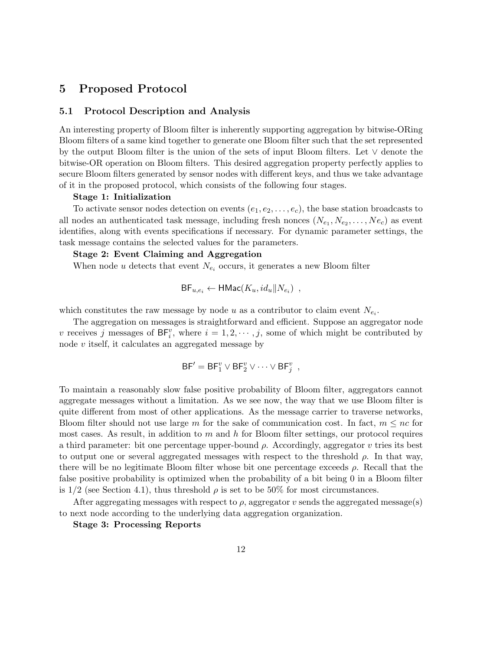# 5 Proposed Protocol

#### 5.1 Protocol Description and Analysis

An interesting property of Bloom filter is inherently supporting aggregation by bitwise-ORing Bloom filters of a same kind together to generate one Bloom filter such that the set represented by the output Bloom filter is the union of the sets of input Bloom filters. Let ∨ denote the bitwise-OR operation on Bloom filters. This desired aggregation property perfectly applies to secure Bloom filters generated by sensor nodes with different keys, and thus we take advantage of it in the proposed protocol, which consists of the following four stages.

#### Stage 1: Initialization

To activate sensor nodes detection on events  $(e_1, e_2, \ldots, e_c)$ , the base station broadcasts to all nodes an authenticated task message, including fresh nonces  $(N_{e_1}, N_{e_2}, \ldots, N_{e_c})$  as event identifies, along with events specifications if necessary. For dynamic parameter settings, the task message contains the selected values for the parameters.

### Stage 2: Event Claiming and Aggregation

When node u detects that event  $N_{e_i}$  occurs, it generates a new Bloom filter

$$
\mathsf{BF}_{u,e_i} \leftarrow \mathsf{HMac}(K_u, id_u \Vert N_{e_i}) ,
$$

which constitutes the raw message by node u as a contributor to claim event  $N_{e_i}$ .

The aggregation on messages is straightforward and efficient. Suppose an aggregator node v receives j messages of  $BF_i^v$ , where  $i = 1, 2, \dots, j$ , some of which might be contributed by node v itself, it calculates an aggregated message by

$$
\mathsf{BF}' = \mathsf{BF}_1^v \vee \mathsf{BF}_2^v \vee \cdots \vee \mathsf{BF}_j^v ,
$$

To maintain a reasonably slow false positive probability of Bloom filter, aggregators cannot aggregate messages without a limitation. As we see now, the way that we use Bloom filter is quite different from most of other applications. As the message carrier to traverse networks, Bloom filter should not use large m for the sake of communication cost. In fact,  $m \leq nc$  for most cases. As result, in addition to  $m$  and  $h$  for Bloom filter settings, our protocol requires a third parameter: bit one percentage upper-bound  $\rho$ . Accordingly, aggregator v tries its best to output one or several aggregated messages with respect to the threshold  $\rho$ . In that way, there will be no legitimate Bloom filter whose bit one percentage exceeds  $\rho$ . Recall that the false positive probability is optimized when the probability of a bit being 0 in a Bloom filter is  $1/2$  (see Section 4.1), thus threshold  $\rho$  is set to be 50% for most circumstances.

After aggregating messages with respect to  $\rho$ , aggregator v sends the aggregated message(s) to next node according to the underlying data aggregation organization.

Stage 3: Processing Reports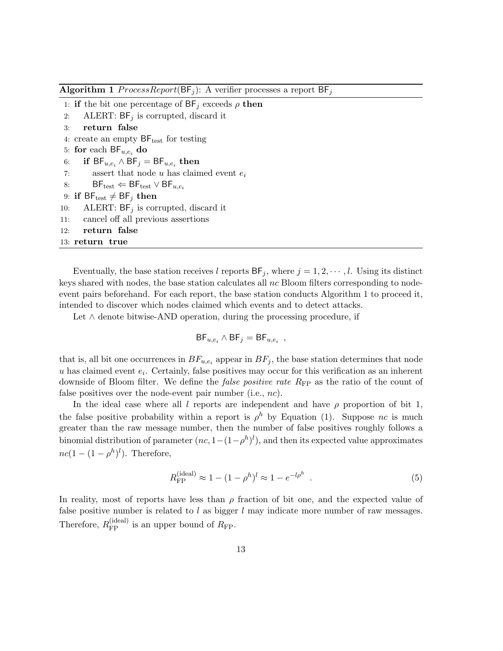**Algorithm 1** ProcessReport( $\mathsf{BF}_i$ ): A verifier processes a report  $\mathsf{BF}_i$ 

- 1: if the bit one percentage of  $BF_j$  exceeds  $\rho$  then
- 2: ALERT:  $BF_j$  is corrupted, discard it
- 3: return false
- 4: create an empty  $BF_{\text{test}}$  for testing
- 5: for each  $\mathsf{BF}_{u,e_i}$  do
- 6: if  $\mathsf{BF}_{u,e_i} \wedge \mathsf{BF}_j = \mathsf{BF}_{u,e_i} \textbf{ then }$
- 7: assert that node u has claimed event  $e_i$
- 8:  $\mathsf{BF}_{\text{test}} \leftarrow \mathsf{BF}_{\text{test}} \vee \mathsf{BF}_{u,e_i}$
- 9: if  $BF_{\text{test}} \neq BF_j$  then
- 10: ALERT:  $BF_j$  is corrupted, discard it
- 11: cancel off all previous assertions
- 12: return false

```
13: return true
```
Eventually, the base station receives l reports  $BF_j$ , where  $j = 1, 2, \dots, l$ . Using its distinct keys shared with nodes, the base station calculates all  $nc$  Bloom filters corresponding to nodeevent pairs beforehand. For each report, the base station conducts Algorithm 1 to proceed it, intended to discover which nodes claimed which events and to detect attacks.

Let  $\wedge$  denote bitwise-AND operation, during the processing procedure, if

$$
{\sf BF}_{u,e_i} \wedge {\sf BF}_j = {\sf BF}_{u,e_i}
$$

that is, all bit one occurrences in  $BF_{u,e_i}$  appear in  $BF_j$ , the base station determines that node  $u$  has claimed event  $e_i$ . Certainly, false positives may occur for this verification as an inherent downside of Bloom filter. We define the *false positive rate*  $R_{\text{FP}}$  as the ratio of the count of false positives over the node-event pair number (i.e., nc).

In the ideal case where all l reports are independent and have  $\rho$  proportion of bit 1, the false positive probability within a report is  $\rho^h$  by Equation (1). Suppose nc is much greater than the raw message number, then the number of false positives roughly follows a binomial distribution of parameter  $(nc, 1-(1-\rho^h)^l)$ , and then its expected value approximates  $nc(1-(1-\rho^h)^l)$ . Therefore,

$$
R_{\rm FP}^{\rm (ideal)} \approx 1 - (1 - \rho^h)^l \approx 1 - e^{-l\rho^h} \ . \tag{5}
$$

,

In reality, most of reports have less than  $\rho$  fraction of bit one, and the expected value of false positive number is related to  $l$  as bigger  $l$  may indicate more number of raw messages. Therefore,  $R_{\rm FP}^{\rm (ideal)}$  is an upper bound of  $R_{\rm FP}$ .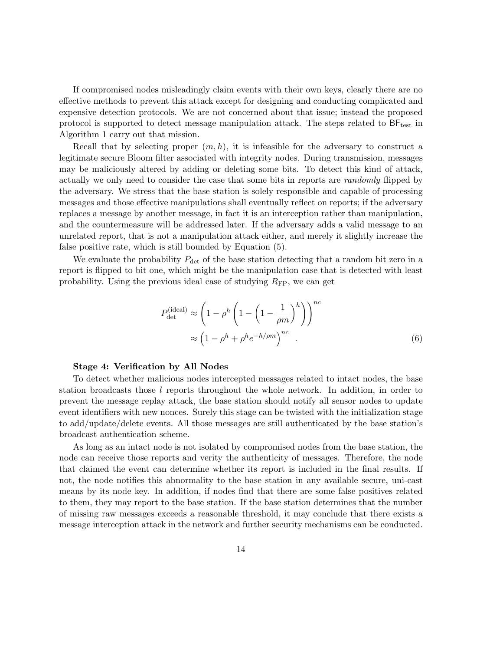If compromised nodes misleadingly claim events with their own keys, clearly there are no effective methods to prevent this attack except for designing and conducting complicated and expensive detection protocols. We are not concerned about that issue; instead the proposed protocol is supported to detect message manipulation attack. The steps related to  $BF_{test}$  in Algorithm 1 carry out that mission.

Recall that by selecting proper  $(m, h)$ , it is infeasible for the adversary to construct a legitimate secure Bloom filter associated with integrity nodes. During transmission, messages may be maliciously altered by adding or deleting some bits. To detect this kind of attack, actually we only need to consider the case that some bits in reports are randomly flipped by the adversary. We stress that the base station is solely responsible and capable of processing messages and those effective manipulations shall eventually reflect on reports; if the adversary replaces a message by another message, in fact it is an interception rather than manipulation, and the countermeasure will be addressed later. If the adversary adds a valid message to an unrelated report, that is not a manipulation attack either, and merely it slightly increase the false positive rate, which is still bounded by Equation (5).

We evaluate the probability  $P_{\text{det}}$  of the base station detecting that a random bit zero in a report is flipped to bit one, which might be the manipulation case that is detected with least probability. Using the previous ideal case of studying  $R_{\text{FP}}$ , we can get

$$
P_{\text{det}}^{(\text{ideal})} \approx \left(1 - \rho^h \left(1 - \left(1 - \frac{1}{\rho m}\right)^h\right)\right)^{nc}
$$

$$
\approx \left(1 - \rho^h + \rho^h e^{-h/\rho m}\right)^{nc}.
$$

$$
(6)
$$

#### Stage 4: Verification by All Nodes

To detect whether malicious nodes intercepted messages related to intact nodes, the base station broadcasts those l reports throughout the whole network. In addition, in order to prevent the message replay attack, the base station should notify all sensor nodes to update event identifiers with new nonces. Surely this stage can be twisted with the initialization stage to add/update/delete events. All those messages are still authenticated by the base station's broadcast authentication scheme.

As long as an intact node is not isolated by compromised nodes from the base station, the node can receive those reports and verity the authenticity of messages. Therefore, the node that claimed the event can determine whether its report is included in the final results. If not, the node notifies this abnormality to the base station in any available secure, uni-cast means by its node key. In addition, if nodes find that there are some false positives related to them, they may report to the base station. If the base station determines that the number of missing raw messages exceeds a reasonable threshold, it may conclude that there exists a message interception attack in the network and further security mechanisms can be conducted.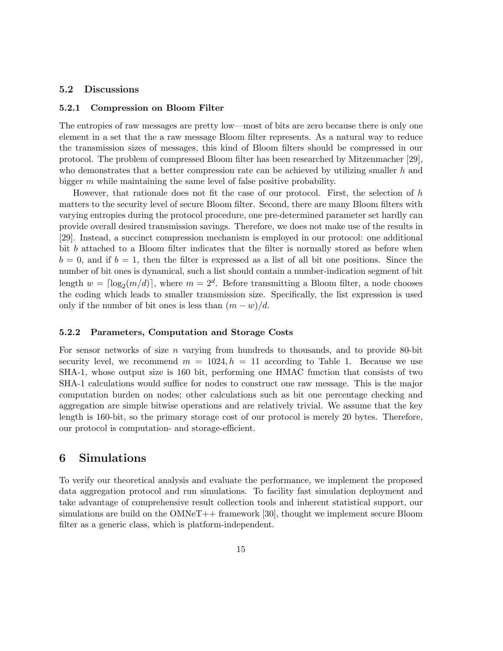### 5.2 Discussions

#### 5.2.1 Compression on Bloom Filter

The entropies of raw messages are pretty low—most of bits are zero because there is only one element in a set that the a raw message Bloom filter represents. As a natural way to reduce the transmission sizes of messages, this kind of Bloom filters should be compressed in our protocol. The problem of compressed Bloom filter has been researched by Mitzenmacher [29], who demonstrates that a better compression rate can be achieved by utilizing smaller h and bigger  $m$  while maintaining the same level of false positive probability.

However, that rationale does not fit the case of our protocol. First, the selection of h matters to the security level of secure Bloom filter. Second, there are many Bloom filters with varying entropies during the protocol procedure, one pre-determined parameter set hardly can provide overall desired transmission savings. Therefore, we does not make use of the results in [29]. Instead, a succinct compression mechanism is employed in our protocol: one additional bit b attached to a Bloom filter indicates that the filter is normally stored as before when  $b = 0$ , and if  $b = 1$ , then the filter is expressed as a list of all bit one positions. Since the number of bit ones is dynamical, such a list should contain a number-indication segment of bit length  $w = \lceil \log_2(m/d) \rceil$ , where  $m = 2^d$ . Before transmitting a Bloom filter, a node chooses the coding which leads to smaller transmission size. Specifically, the list expression is used only if the number of bit ones is less than  $(m - w)/d$ .

#### 5.2.2 Parameters, Computation and Storage Costs

For sensor networks of size  $n$  varying from hundreds to thousands, and to provide 80-bit security level, we recommend  $m = 1024$ ,  $h = 11$  according to Table 1. Because we use SHA-1, whose output size is 160 bit, performing one HMAC function that consists of two SHA-1 calculations would suffice for nodes to construct one raw message. This is the major computation burden on nodes; other calculations such as bit one percentage checking and aggregation are simple bitwise operations and are relatively trivial. We assume that the key length is 160-bit, so the primary storage cost of our protocol is merely 20 bytes. Therefore, our protocol is computation- and storage-efficient.

# 6 Simulations

To verify our theoretical analysis and evaluate the performance, we implement the proposed data aggregation protocol and run simulations. To facility fast simulation deployment and take advantage of comprehensive result collection tools and inherent statistical support, our simulations are build on the OMNeT++ framework [30], thought we implement secure Bloom filter as a generic class, which is platform-independent.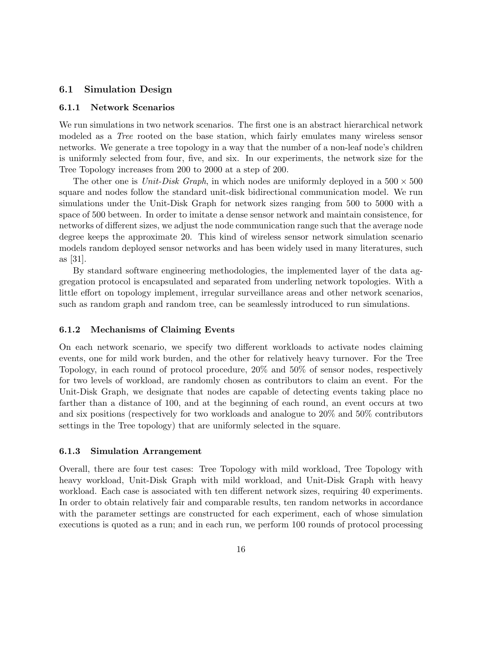### 6.1 Simulation Design

### 6.1.1 Network Scenarios

We run simulations in two network scenarios. The first one is an abstract hierarchical network modeled as a Tree rooted on the base station, which fairly emulates many wireless sensor networks. We generate a tree topology in a way that the number of a non-leaf node's children is uniformly selected from four, five, and six. In our experiments, the network size for the Tree Topology increases from 200 to 2000 at a step of 200.

The other one is Unit-Disk Graph, in which nodes are uniformly deployed in a  $500 \times 500$ square and nodes follow the standard unit-disk bidirectional communication model. We run simulations under the Unit-Disk Graph for network sizes ranging from 500 to 5000 with a space of 500 between. In order to imitate a dense sensor network and maintain consistence, for networks of different sizes, we adjust the node communication range such that the average node degree keeps the approximate 20. This kind of wireless sensor network simulation scenario models random deployed sensor networks and has been widely used in many literatures, such as [31].

By standard software engineering methodologies, the implemented layer of the data aggregation protocol is encapsulated and separated from underling network topologies. With a little effort on topology implement, irregular surveillance areas and other network scenarios, such as random graph and random tree, can be seamlessly introduced to run simulations.

#### 6.1.2 Mechanisms of Claiming Events

On each network scenario, we specify two different workloads to activate nodes claiming events, one for mild work burden, and the other for relatively heavy turnover. For the Tree Topology, in each round of protocol procedure, 20% and 50% of sensor nodes, respectively for two levels of workload, are randomly chosen as contributors to claim an event. For the Unit-Disk Graph, we designate that nodes are capable of detecting events taking place no farther than a distance of 100, and at the beginning of each round, an event occurs at two and six positions (respectively for two workloads and analogue to 20% and 50% contributors settings in the Tree topology) that are uniformly selected in the square.

#### 6.1.3 Simulation Arrangement

Overall, there are four test cases: Tree Topology with mild workload, Tree Topology with heavy workload, Unit-Disk Graph with mild workload, and Unit-Disk Graph with heavy workload. Each case is associated with ten different network sizes, requiring 40 experiments. In order to obtain relatively fair and comparable results, ten random networks in accordance with the parameter settings are constructed for each experiment, each of whose simulation executions is quoted as a run; and in each run, we perform 100 rounds of protocol processing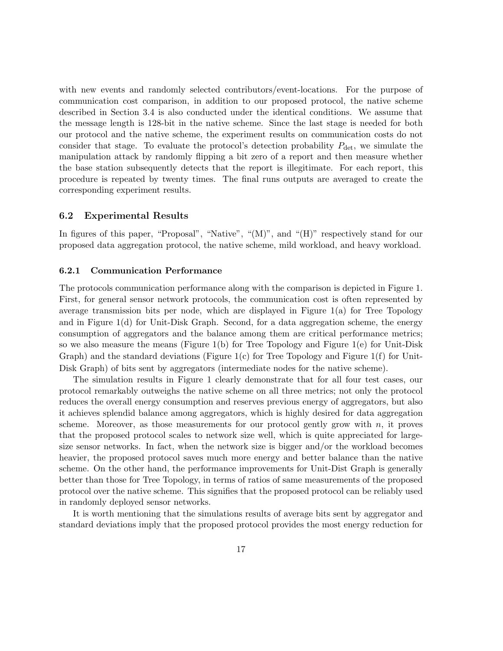with new events and randomly selected contributors/event-locations. For the purpose of communication cost comparison, in addition to our proposed protocol, the native scheme described in Section 3.4 is also conducted under the identical conditions. We assume that the message length is 128-bit in the native scheme. Since the last stage is needed for both our protocol and the native scheme, the experiment results on communication costs do not consider that stage. To evaluate the protocol's detection probability  $P_{\text{det}}$ , we simulate the manipulation attack by randomly flipping a bit zero of a report and then measure whether the base station subsequently detects that the report is illegitimate. For each report, this procedure is repeated by twenty times. The final runs outputs are averaged to create the corresponding experiment results.

#### 6.2 Experimental Results

In figures of this paper, "Proposal", "Native", "(M)", and "(H)" respectively stand for our proposed data aggregation protocol, the native scheme, mild workload, and heavy workload.

#### 6.2.1 Communication Performance

The protocols communication performance along with the comparison is depicted in Figure 1. First, for general sensor network protocols, the communication cost is often represented by average transmission bits per node, which are displayed in Figure 1(a) for Tree Topology and in Figure  $1(d)$  for Unit-Disk Graph. Second, for a data aggregation scheme, the energy consumption of aggregators and the balance among them are critical performance metrics; so we also measure the means (Figure 1(b) for Tree Topology and Figure 1(e) for Unit-Disk Graph) and the standard deviations (Figure 1(c) for Tree Topology and Figure 1(f) for Unit-Disk Graph) of bits sent by aggregators (intermediate nodes for the native scheme).

The simulation results in Figure 1 clearly demonstrate that for all four test cases, our protocol remarkably outweighs the native scheme on all three metrics; not only the protocol reduces the overall energy consumption and reserves previous energy of aggregators, but also it achieves splendid balance among aggregators, which is highly desired for data aggregation scheme. Moreover, as those measurements for our protocol gently grow with  $n$ , it proves that the proposed protocol scales to network size well, which is quite appreciated for largesize sensor networks. In fact, when the network size is bigger and/or the workload becomes heavier, the proposed protocol saves much more energy and better balance than the native scheme. On the other hand, the performance improvements for Unit-Dist Graph is generally better than those for Tree Topology, in terms of ratios of same measurements of the proposed protocol over the native scheme. This signifies that the proposed protocol can be reliably used in randomly deployed sensor networks.

It is worth mentioning that the simulations results of average bits sent by aggregator and standard deviations imply that the proposed protocol provides the most energy reduction for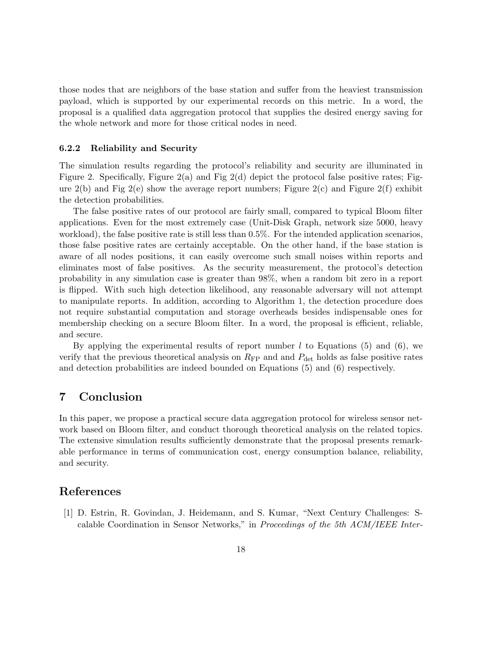those nodes that are neighbors of the base station and suffer from the heaviest transmission payload, which is supported by our experimental records on this metric. In a word, the proposal is a qualified data aggregation protocol that supplies the desired energy saving for the whole network and more for those critical nodes in need.

#### 6.2.2 Reliability and Security

The simulation results regarding the protocol's reliability and security are illuminated in Figure 2. Specifically, Figure 2(a) and Fig 2(d) depict the protocol false positive rates; Figure  $2(b)$  and Fig  $2(e)$  show the average report numbers; Figure  $2(c)$  and Figure  $2(f)$  exhibit the detection probabilities.

The false positive rates of our protocol are fairly small, compared to typical Bloom filter applications. Even for the most extremely case (Unit-Disk Graph, network size 5000, heavy workload), the false positive rate is still less than 0.5%. For the intended application scenarios, those false positive rates are certainly acceptable. On the other hand, if the base station is aware of all nodes positions, it can easily overcome such small noises within reports and eliminates most of false positives. As the security measurement, the protocol's detection probability in any simulation case is greater than 98%, when a random bit zero in a report is flipped. With such high detection likelihood, any reasonable adversary will not attempt to manipulate reports. In addition, according to Algorithm 1, the detection procedure does not require substantial computation and storage overheads besides indispensable ones for membership checking on a secure Bloom filter. In a word, the proposal is efficient, reliable, and secure.

By applying the experimental results of report number  $l$  to Equations (5) and (6), we verify that the previous theoretical analysis on  $R_{\text{FP}}$  and and  $P_{\text{det}}$  holds as false positive rates and detection probabilities are indeed bounded on Equations (5) and (6) respectively.

# 7 Conclusion

In this paper, we propose a practical secure data aggregation protocol for wireless sensor network based on Bloom filter, and conduct thorough theoretical analysis on the related topics. The extensive simulation results sufficiently demonstrate that the proposal presents remarkable performance in terms of communication cost, energy consumption balance, reliability, and security.

# References

[1] D. Estrin, R. Govindan, J. Heidemann, and S. Kumar, "Next Century Challenges: Scalable Coordination in Sensor Networks," in Proceedings of the 5th ACM/IEEE Inter-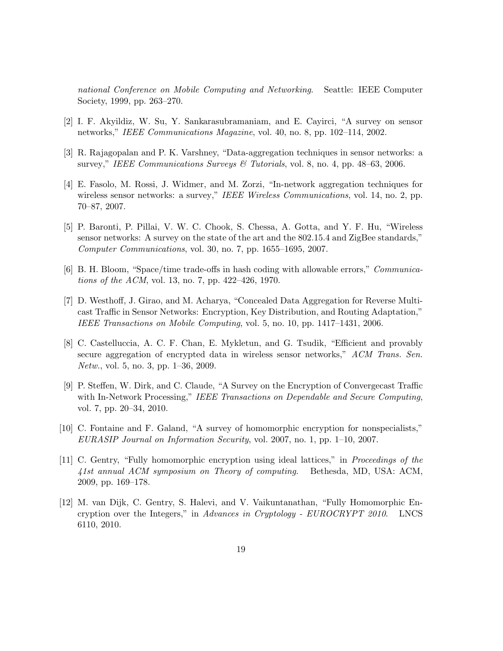national Conference on Mobile Computing and Networking. Seattle: IEEE Computer Society, 1999, pp. 263–270.

- [2] I. F. Akyildiz, W. Su, Y. Sankarasubramaniam, and E. Cayirci, "A survey on sensor networks," IEEE Communications Magazine, vol. 40, no. 8, pp. 102–114, 2002.
- [3] R. Rajagopalan and P. K. Varshney, "Data-aggregation techniques in sensor networks: a survey," IEEE Communications Surveys  $\mathcal{B}$  Tutorials, vol. 8, no. 4, pp. 48–63, 2006.
- [4] E. Fasolo, M. Rossi, J. Widmer, and M. Zorzi, "In-network aggregation techniques for wireless sensor networks: a survey," IEEE Wireless Communications, vol. 14, no. 2, pp. 70–87, 2007.
- [5] P. Baronti, P. Pillai, V. W. C. Chook, S. Chessa, A. Gotta, and Y. F. Hu, "Wireless sensor networks: A survey on the state of the art and the 802.15.4 and ZigBee standards," Computer Communications, vol. 30, no. 7, pp. 1655–1695, 2007.
- [6] B. H. Bloom, "Space/time trade-offs in hash coding with allowable errors," Communications of the ACM, vol. 13, no. 7, pp. 422–426, 1970.
- [7] D. Westhoff, J. Girao, and M. Acharya, "Concealed Data Aggregation for Reverse Multicast Traffic in Sensor Networks: Encryption, Key Distribution, and Routing Adaptation," IEEE Transactions on Mobile Computing, vol. 5, no. 10, pp. 1417–1431, 2006.
- [8] C. Castelluccia, A. C. F. Chan, E. Mykletun, and G. Tsudik, "Efficient and provably secure aggregation of encrypted data in wireless sensor networks," ACM Trans. Sen. Netw., vol. 5, no. 3, pp. 1–36, 2009.
- [9] P. Steffen, W. Dirk, and C. Claude, "A Survey on the Encryption of Convergecast Traffic with In-Network Processing," IEEE Transactions on Dependable and Secure Computing, vol. 7, pp. 20–34, 2010.
- [10] C. Fontaine and F. Galand, "A survey of homomorphic encryption for nonspecialists," EURASIP Journal on Information Security, vol. 2007, no. 1, pp. 1–10, 2007.
- [11] C. Gentry, "Fully homomorphic encryption using ideal lattices," in Proceedings of the 41st annual ACM symposium on Theory of computing. Bethesda, MD, USA: ACM, 2009, pp. 169–178.
- [12] M. van Dijk, C. Gentry, S. Halevi, and V. Vaikuntanathan, "Fully Homomorphic Encryption over the Integers," in Advances in Cryptology - EUROCRYPT 2010. LNCS 6110, 2010.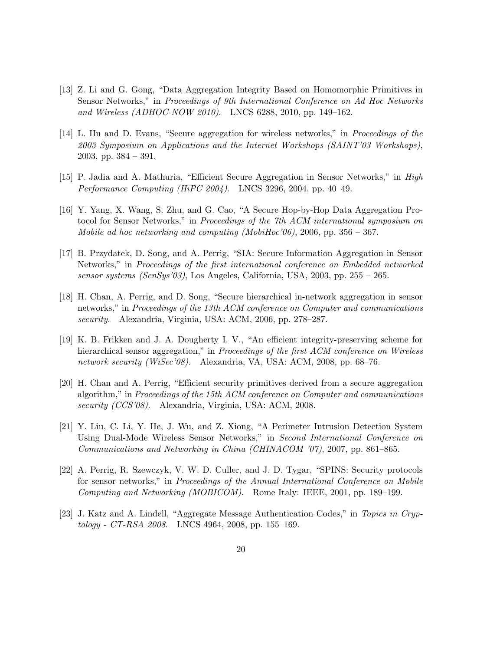- [13] Z. Li and G. Gong, "Data Aggregation Integrity Based on Homomorphic Primitives in Sensor Networks," in Proceedings of 9th International Conference on Ad Hoc Networks and Wireless (ADHOC-NOW 2010). LNCS 6288, 2010, pp. 149–162.
- [14] L. Hu and D. Evans, "Secure aggregation for wireless networks," in Proceedings of the 2003 Symposium on Applications and the Internet Workshops (SAINT'03 Workshops), 2003, pp. 384 – 391.
- [15] P. Jadia and A. Mathuria, "Efficient Secure Aggregation in Sensor Networks," in High Performance Computing (HiPC 2004). LNCS 3296, 2004, pp. 40–49.
- [16] Y. Yang, X. Wang, S. Zhu, and G. Cao, "A Secure Hop-by-Hop Data Aggregation Protocol for Sensor Networks," in *Proceedings of the 7th ACM international symposium on* Mobile ad hoc networking and computing (MobiHoc'06), 2006, pp.  $356 - 367$ .
- [17] B. Przydatek, D. Song, and A. Perrig, "SIA: Secure Information Aggregation in Sensor Networks," in Proceedings of the first international conference on Embedded networked sensor systems (SenSys'03), Los Angeles, California, USA, 2003, pp.  $255 - 265$ .
- [18] H. Chan, A. Perrig, and D. Song, "Secure hierarchical in-network aggregation in sensor networks," in Proceedings of the 13th ACM conference on Computer and communications security. Alexandria, Virginia, USA: ACM, 2006, pp. 278–287.
- [19] K. B. Frikken and J. A. Dougherty I. V., "An efficient integrity-preserving scheme for hierarchical sensor aggregation," in *Proceedings of the first ACM conference on Wireless* network security (WiSec'08). Alexandria, VA, USA: ACM, 2008, pp. 68–76.
- [20] H. Chan and A. Perrig, "Efficient security primitives derived from a secure aggregation algorithm," in Proceedings of the 15th ACM conference on Computer and communications security (CCS'08). Alexandria, Virginia, USA: ACM, 2008.
- [21] Y. Liu, C. Li, Y. He, J. Wu, and Z. Xiong, "A Perimeter Intrusion Detection System Using Dual-Mode Wireless Sensor Networks," in Second International Conference on Communications and Networking in China (CHINACOM '07), 2007, pp. 861–865.
- [22] A. Perrig, R. Szewczyk, V. W. D. Culler, and J. D. Tygar, "SPINS: Security protocols for sensor networks," in Proceedings of the Annual International Conference on Mobile Computing and Networking (MOBICOM). Rome Italy: IEEE, 2001, pp. 189–199.
- [23] J. Katz and A. Lindell, "Aggregate Message Authentication Codes," in Topics in Cryptology - CT-RSA 2008. LNCS 4964, 2008, pp. 155–169.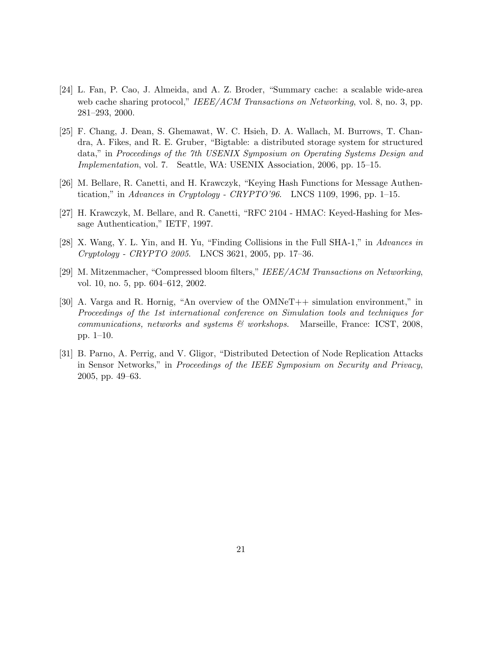- [24] L. Fan, P. Cao, J. Almeida, and A. Z. Broder, "Summary cache: a scalable wide-area web cache sharing protocol," IEEE/ACM Transactions on Networking, vol. 8, no. 3, pp. 281–293, 2000.
- [25] F. Chang, J. Dean, S. Ghemawat, W. C. Hsieh, D. A. Wallach, M. Burrows, T. Chandra, A. Fikes, and R. E. Gruber, "Bigtable: a distributed storage system for structured data," in Proceedings of the 7th USENIX Symposium on Operating Systems Design and Implementation, vol. 7. Seattle, WA: USENIX Association, 2006, pp. 15–15.
- [26] M. Bellare, R. Canetti, and H. Krawczyk, "Keying Hash Functions for Message Authentication," in Advances in Cryptology - CRYPTO'96. LNCS 1109, 1996, pp. 1–15.
- [27] H. Krawczyk, M. Bellare, and R. Canetti, "RFC 2104 HMAC: Keyed-Hashing for Message Authentication," IETF, 1997.
- [28] X. Wang, Y. L. Yin, and H. Yu, "Finding Collisions in the Full SHA-1," in Advances in Cryptology - CRYPTO 2005. LNCS 3621, 2005, pp. 17–36.
- [29] M. Mitzenmacher, "Compressed bloom filters," IEEE/ACM Transactions on Networking, vol. 10, no. 5, pp. 604–612, 2002.
- [30] A. Varga and R. Hornig, "An overview of the OMNeT++ simulation environment," in Proceedings of the 1st international conference on Simulation tools and techniques for communications, networks and systems  $\mathcal{C}$  workshops. Marseille, France: ICST, 2008, pp. 1–10.
- [31] B. Parno, A. Perrig, and V. Gligor, "Distributed Detection of Node Replication Attacks in Sensor Networks," in Proceedings of the IEEE Symposium on Security and Privacy, 2005, pp. 49–63.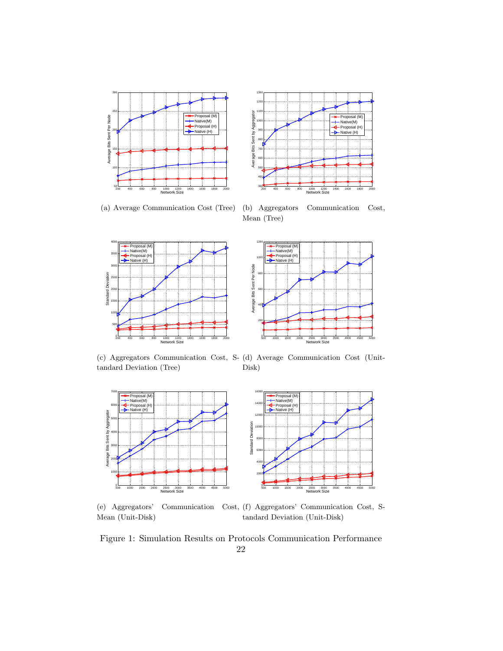



(a) Average Communication Cost (Tree)

(b) Aggregators Communication Cost, Mean (Tree)



(c) Aggregators Communication Cost, S-(d) Average Communication Cost (Unittandard Deviation (Tree) Disk)



(e) Aggregators' Communication Cost, (f) Aggregators' Communication Cost, S-Mean (Unit-Disk) tandard Deviation (Unit-Disk)

Figure 1: Simulation Results on Protocols Communication Performance